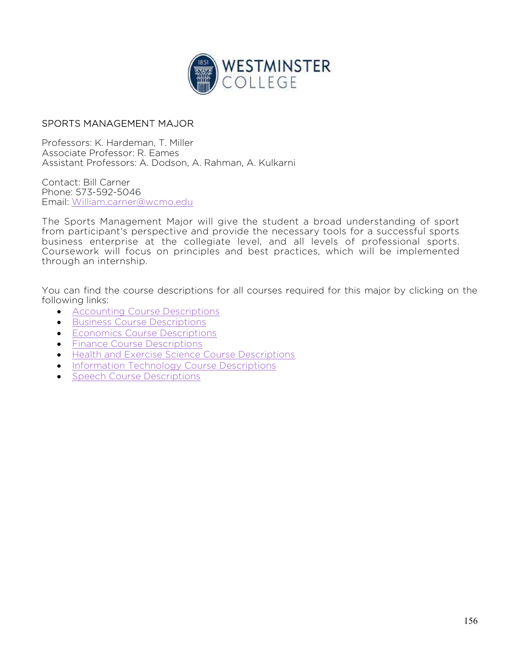

## SPORTS MANAGEMENT MAJOR

Professors: K. Hardeman, T. Miller Associate Professor: R. Eames Assistant Professors: A. Dodson, A. Rahman, A. Kulkarni

Contact: Bill Carner Phone: 573-592-5046 Email: William.carner@wcmo.edu

The Sports Management Major will give the student a broad understanding of sport from participant's perspective and provide the necessary tools for a successful sports business enterprise at the collegiate level, and all levels of professional sports. Coursework will focus on principles and best practices, which will be implemented through an internship.

You can find the course descriptions for all courses required for this major by clicking on the following links:

- **•** Accounting Course Descriptions
- **•** Business Course Descriptions
- **Economics Course Descriptions**
- **•** Finance Course Descriptions
- **Health and Exercise Science Course Descriptions**
- **•** Information Technology Course Descriptions
- Speech Course Descriptions